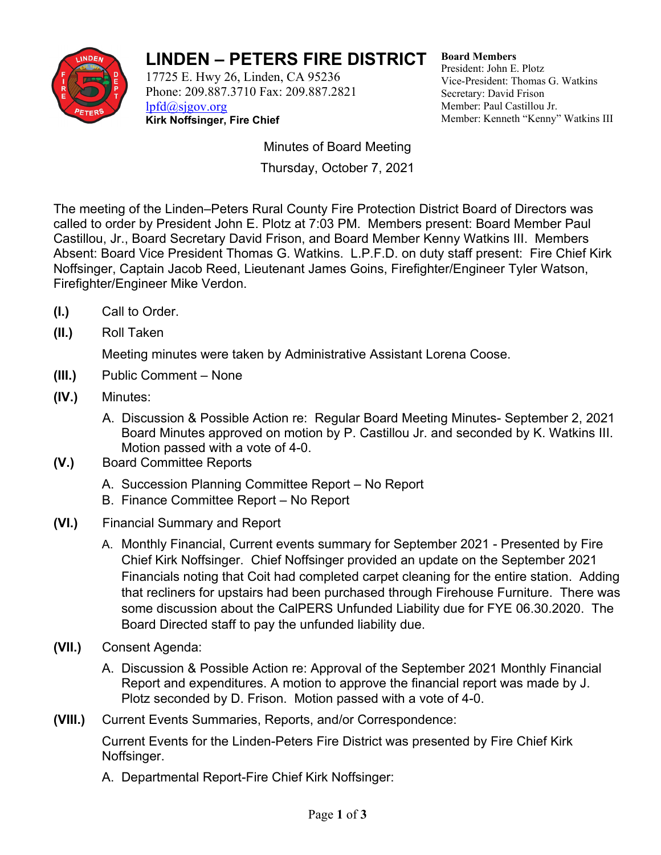

## **LINDEN – PETERS FIRE DISTRICT**

17725 E. Hwy 26, Linden, CA 95236 Phone: 209.887.3710 Fax: 209.887.2821 lpfd@sjgov.org **Kirk Noffsinger, Fire Chief**

**Board Members**  President: John E. Plotz Vice-President: Thomas G. Watkins Secretary: David Frison Member: Paul Castillou Jr. Member: Kenneth "Kenny" Watkins III

Minutes of Board Meeting Thursday, October 7, 2021

The meeting of the Linden–Peters Rural County Fire Protection District Board of Directors was called to order by President John E. Plotz at 7:03 PM. Members present: Board Member Paul Castillou, Jr., Board Secretary David Frison, and Board Member Kenny Watkins III. Members Absent: Board Vice President Thomas G. Watkins. L.P.F.D. on duty staff present: Fire Chief Kirk Noffsinger, Captain Jacob Reed, Lieutenant James Goins, Firefighter/Engineer Tyler Watson, Firefighter/Engineer Mike Verdon.

- **(I.)** Call to Order.
- **(II.)** Roll Taken

Meeting minutes were taken by Administrative Assistant Lorena Coose.

- **(III.)** Public Comment None
- **(IV.)** Minutes:
	- A. Discussion & Possible Action re: Regular Board Meeting Minutes- September 2, 2021 Board Minutes approved on motion by P. Castillou Jr. and seconded by K. Watkins III. Motion passed with a vote of 4-0.
- **(V.)** Board Committee Reports
	- A. Succession Planning Committee Report No Report
	- B. Finance Committee Report No Report
- **(VI.)** Financial Summary and Report
	- A. Monthly Financial, Current events summary for September 2021 Presented by Fire Chief Kirk Noffsinger. Chief Noffsinger provided an update on the September 2021 Financials noting that Coit had completed carpet cleaning for the entire station. Adding that recliners for upstairs had been purchased through Firehouse Furniture. There was some discussion about the CalPERS Unfunded Liability due for FYE 06.30.2020. The Board Directed staff to pay the unfunded liability due.
- **(VII.)** Consent Agenda:
	- A. Discussion & Possible Action re: Approval of the September 2021 Monthly Financial Report and expenditures. A motion to approve the financial report was made by J. Plotz seconded by D. Frison. Motion passed with a vote of 4-0.
- **(VIII.)** Current Events Summaries, Reports, and/or Correspondence:

Current Events for the Linden-Peters Fire District was presented by Fire Chief Kirk Noffsinger.

A. Departmental Report-Fire Chief Kirk Noffsinger: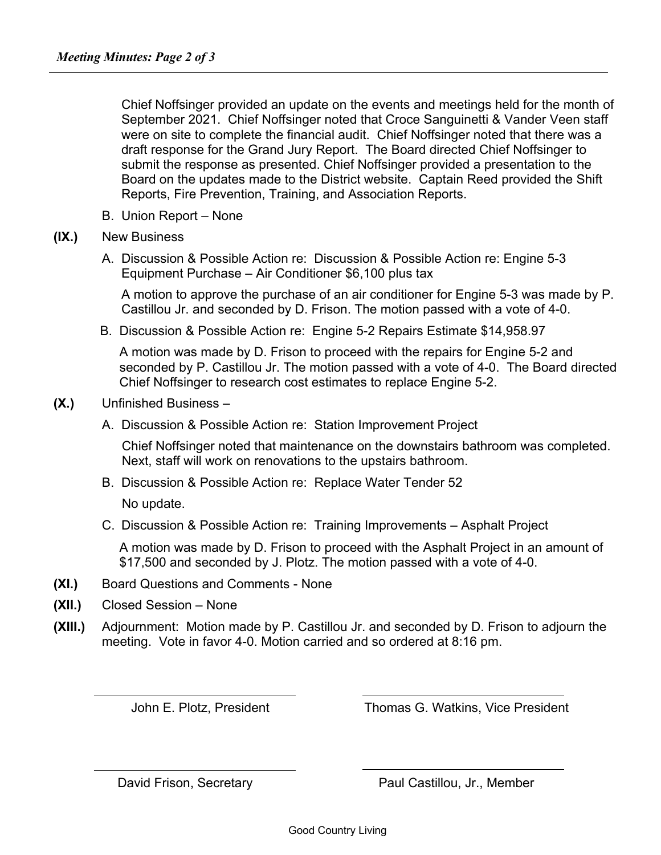Chief Noffsinger provided an update on the events and meetings held for the month of September 2021. Chief Noffsinger noted that Croce Sanguinetti & Vander Veen staff were on site to complete the financial audit. Chief Noffsinger noted that there was a draft response for the Grand Jury Report. The Board directed Chief Noffsinger to submit the response as presented. Chief Noffsinger provided a presentation to the Board on the updates made to the District website. Captain Reed provided the Shift Reports, Fire Prevention, Training, and Association Reports.

B. Union Report – None

## **(IX.)** New Business

A. Discussion & Possible Action re: Discussion & Possible Action re: Engine 5-3 Equipment Purchase – Air Conditioner \$6,100 plus tax

A motion to approve the purchase of an air conditioner for Engine 5-3 was made by P. Castillou Jr. and seconded by D. Frison. The motion passed with a vote of 4-0.

B. Discussion & Possible Action re: Engine 5-2 Repairs Estimate \$14,958.97

A motion was made by D. Frison to proceed with the repairs for Engine 5-2 and seconded by P. Castillou Jr. The motion passed with a vote of 4-0. The Board directed Chief Noffsinger to research cost estimates to replace Engine 5-2.

## **(X.)** Unfinished Business –

A. Discussion & Possible Action re: Station Improvement Project

Chief Noffsinger noted that maintenance on the downstairs bathroom was completed. Next, staff will work on renovations to the upstairs bathroom.

B. Discussion & Possible Action re: Replace Water Tender 52

No update.

C. Discussion & Possible Action re: Training Improvements – Asphalt Project

A motion was made by D. Frison to proceed with the Asphalt Project in an amount of \$17,500 and seconded by J. Plotz. The motion passed with a vote of 4-0.

- **(XI.)** Board Questions and Comments None
- **(XII.)** Closed Session None

 $\overline{a}$ 

**(XIII.)** Adjournment:Motion made by P. Castillou Jr. and seconded by D. Frison to adjourn the meeting. Vote in favor 4-0. Motion carried and so ordered at 8:16 pm.

John E. Plotz, President Thomas G. Watkins, Vice President

David Frison, Secretary **Paul Castillou, Jr., Member**